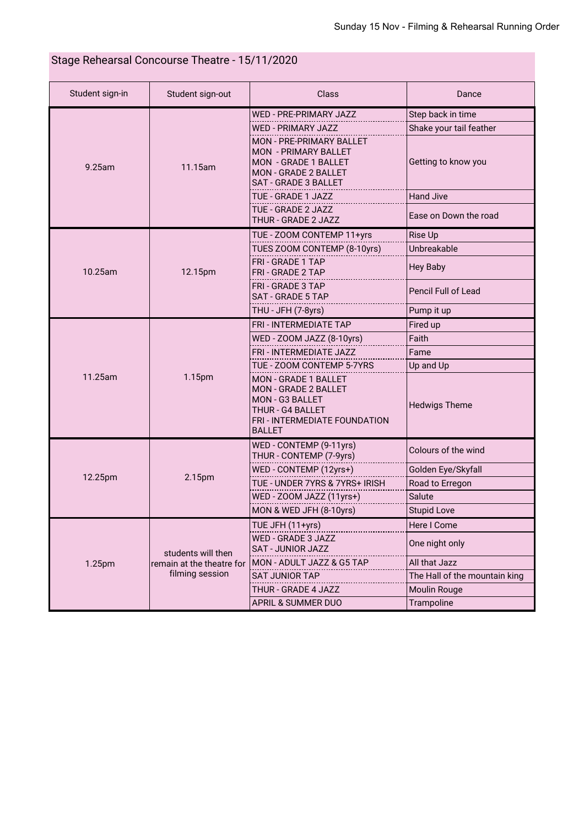## Stage Rehearsal Concourse Theatre - 15/11/2020

| Student sign-in | Student sign-out                                                   | Class                                                                                                                                  | Dance                         |
|-----------------|--------------------------------------------------------------------|----------------------------------------------------------------------------------------------------------------------------------------|-------------------------------|
| 9.25am          | 11.15am                                                            | <b>WED - PRE-PRIMARY JAZZ</b>                                                                                                          | Step back in time             |
|                 |                                                                    | <b>WED - PRIMARY JAZZ</b>                                                                                                              | Shake your tail feather       |
|                 |                                                                    | <b>MON - PRE-PRIMARY BALLET</b><br><b>MON - PRIMARY BALLET</b><br>MON - GRADE 1 BALLET<br>MON - GRADE 2 BALLET<br>SAT - GRADE 3 BALLET | Getting to know you           |
|                 |                                                                    | TUE - GRADE 1 JAZZ                                                                                                                     | <b>Hand Jive</b>              |
|                 |                                                                    | TUE - GRADE 2 JAZZ<br>THUR - GRADE 2 JAZZ                                                                                              | Ease on Down the road         |
| 10.25am         | 12.15pm                                                            | TUE - ZOOM CONTEMP 11+yrs                                                                                                              | Rise Up                       |
|                 |                                                                    | TUES ZOOM CONTEMP (8-10yrs)                                                                                                            | Unbreakable                   |
|                 |                                                                    | <b>FRI - GRADE 1 TAP</b><br><b>FRI - GRADE 2 TAP</b>                                                                                   | <b>Hey Baby</b>               |
|                 |                                                                    | <b>FRI - GRADE 3 TAP</b><br><b>SAT - GRADE 5 TAP</b>                                                                                   | <b>Pencil Full of Lead</b>    |
|                 |                                                                    | THU - JFH (7-8yrs)                                                                                                                     | Pump it up                    |
| 11.25am         | 1.15pm                                                             | <b>FRI - INTERMEDIATE TAP</b>                                                                                                          | Fired up                      |
|                 |                                                                    | WED - ZOOM JAZZ (8-10yrs)                                                                                                              | Faith                         |
|                 |                                                                    | FRI - INTERMEDIATE JAZZ                                                                                                                | Fame                          |
|                 |                                                                    | TUE - ZOOM CONTEMP 5-7YRS                                                                                                              | Up and Up                     |
|                 |                                                                    | MON - GRADE 1 BALLET<br>MON - GRADE 2 BALLET<br>MON - G3 BALLET<br>THUR - G4 BALLET<br>FRI - INTERMEDIATE FOUNDATION<br><b>BALLET</b>  | <b>Hedwigs Theme</b>          |
| 12.25pm         | 2.15pm                                                             | WED - CONTEMP (9-11yrs)<br>THUR - CONTEMP (7-9yrs)                                                                                     | Colours of the wind           |
|                 |                                                                    | WED - CONTEMP (12yrs+)                                                                                                                 | Golden Eye/Skyfall            |
|                 |                                                                    | TUE - UNDER 7YRS & 7YRS+ IRISH                                                                                                         | Road to Erregon               |
|                 |                                                                    | WED - ZOOM JAZZ (11yrs+)                                                                                                               | Salute                        |
|                 |                                                                    | MON & WED JFH (8-10yrs)                                                                                                                | <b>Stupid Love</b>            |
|                 | students will then<br>remain at the theatre for<br>filming session | TUE JFH (11+yrs)                                                                                                                       | Here I Come                   |
| 1.25pm          |                                                                    | WED - GRADE 3 JAZZ<br>SAT - JUNIOR JAZZ                                                                                                | One night only                |
|                 |                                                                    | MON - ADULT JAZZ & G5 TAP                                                                                                              | All that Jazz                 |
|                 |                                                                    | <b>SAT JUNIOR TAP</b>                                                                                                                  | The Hall of the mountain king |
|                 |                                                                    | THUR - GRADE 4 JAZZ                                                                                                                    | <b>Moulin Rouge</b>           |
|                 |                                                                    | APRIL & SUMMER DUO                                                                                                                     | Trampoline                    |